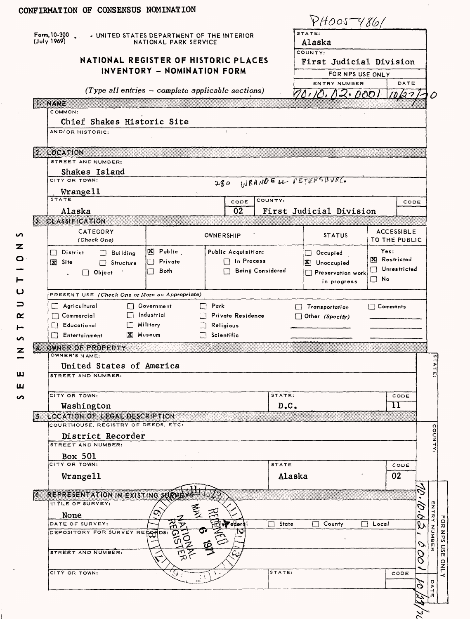|      | CONFIRMATION OF CONSENSUS NOMINATION                                                |                             |                         |                         |            |                                    |                              |         |           |  |  |  |
|------|-------------------------------------------------------------------------------------|-----------------------------|-------------------------|-------------------------|------------|------------------------------------|------------------------------|---------|-----------|--|--|--|
|      |                                                                                     |                             |                         |                         |            | PHOOSTY86/                         |                              |         |           |  |  |  |
|      | Form <sub>e</sub> 10-300 . JUNITED STATES DEPARTMENT OF THE INTERIOR<br>(July 1969) | NATIONAL PARK SERVICE       |                         | STATE:<br>Alaska        |            |                                    |                              |         |           |  |  |  |
|      | NATIONAL REGISTER OF HISTORIC PLACES                                                |                             |                         |                         |            | COUNTY:<br>First Judicial Division |                              |         |           |  |  |  |
|      |                                                                                     | INVENTORY - NOMINATION FORM |                         |                         |            |                                    |                              |         |           |  |  |  |
|      |                                                                                     |                             |                         |                         |            | FOR NPS USE ONLY<br>ENTRY NUMBER   | DATE                         |         |           |  |  |  |
|      | $(Type\ all\ entries - complete\ applicable\ sections)$                             | 00, 10, 12, 000<br>ハッ       |                         | ( )                     |            |                                    |                              |         |           |  |  |  |
|      | <b>II. NAME</b><br>COMMON:                                                          |                             |                         |                         |            |                                    |                              |         |           |  |  |  |
|      | Chief Shakes Historic Site                                                          |                             |                         |                         |            |                                    |                              |         |           |  |  |  |
|      | AND/OR HISTORIC:                                                                    |                             | $\mathcal{F}$           |                         |            |                                    |                              |         |           |  |  |  |
|      |                                                                                     |                             |                         |                         |            |                                    |                              |         |           |  |  |  |
|      | 2. LOCATION<br>STREET AND NUMBER:                                                   |                             |                         |                         |            |                                    |                              |         |           |  |  |  |
|      | Shakes Island                                                                       |                             |                         |                         |            |                                    |                              |         |           |  |  |  |
|      | CITY OR TOWN:                                                                       |                             |                         |                         |            | 280 INRANGELL PETERSBURG           |                              |         |           |  |  |  |
|      | Wrangell                                                                            |                             |                         |                         |            |                                    |                              |         |           |  |  |  |
|      | <b>STATE</b>                                                                        |                             |                         | CODE                    | COUNTY:    |                                    |                              | CODE    |           |  |  |  |
|      | Alaska<br>3. CLASSIFICATION                                                         |                             |                         | 02                      |            | First Judicial Division            |                              |         |           |  |  |  |
|      | CATEGORY                                                                            |                             |                         |                         |            |                                    | <b>ACCESSIBLE</b>            |         |           |  |  |  |
|      | (Check One)                                                                         |                             | OWNERSHIP               |                         |            | <b>STATUS</b>                      | TO THE PUBLIC                |         |           |  |  |  |
|      | $\Box$ District<br>$\Box$ Building                                                  | X Public                    | Public Acquisition:     |                         |            | $\Box$ Occupied                    | Yes:                         |         |           |  |  |  |
|      | X Site<br>$\Box$ Structure                                                          | Private<br>ΓI               |                         | $\Box$ In Process       |            | X Unoccupied                       | X Restricted<br>Unrestricted |         |           |  |  |  |
|      | $\Box$ Object                                                                       | $\Box$ Both                 |                         | Being Considered        |            | Preservation work                  | $\square$ No                 |         |           |  |  |  |
|      |                                                                                     |                             |                         |                         |            | in progress                        |                              |         |           |  |  |  |
|      | PRESENT USE (Check One or More as Appropriate)                                      |                             |                         |                         |            |                                    |                              |         |           |  |  |  |
|      | $\Box$ Agricultural                                                                 | □ Government<br>ndustrial   | $\Box$ Park             |                         |            | Transportation                     | $\Box$ Comments              |         |           |  |  |  |
|      | $\Box$ Commercial<br><b>F</b> ducational                                            | $\Box$ Military             | $\Box$ Religious        | <b>Fivate Residence</b> |            | $\Box$ Other (Specify)             |                              |         |           |  |  |  |
|      | Entertainment                                                                       | X Museum                    | $\Box$ Scientific       |                         |            |                                    |                              |         |           |  |  |  |
| л.   | OWNER OF PROPERTY                                                                   |                             |                         |                         |            |                                    |                              |         |           |  |  |  |
|      | OWNER'S NAME:                                                                       |                             |                         |                         |            |                                    |                              |         |           |  |  |  |
|      | United States of America                                                            |                             |                         |                         |            |                                    |                              |         | TATE      |  |  |  |
|      | STREET AND NUMBER:                                                                  |                             |                         |                         |            |                                    |                              |         |           |  |  |  |
|      | CITY OR TOWN:                                                                       |                             |                         |                         | STATE:     |                                    | CODE                         |         |           |  |  |  |
|      | Washington                                                                          |                             |                         | D.C.                    |            | $\overline{11}$                    |                              |         |           |  |  |  |
| s.   | LOCATION OF LEGAL DESCRIPTION                                                       |                             |                         |                         |            |                                    |                              |         |           |  |  |  |
|      | COURTHOUSE, REGISTRY OF DEEDS, ETC.                                                 |                             |                         |                         |            |                                    |                              |         |           |  |  |  |
|      | District Recorder<br>STREET AND NUMBER:                                             |                             |                         |                         |            |                                    |                              |         | COUNTY    |  |  |  |
|      | <b>Box 501</b>                                                                      |                             |                         |                         |            |                                    |                              |         |           |  |  |  |
|      | CITY OR TOWN:                                                                       |                             |                         |                         | STATE      | CODE                               |                              |         |           |  |  |  |
|      | Wrange11                                                                            |                             |                         |                         | Alaska     |                                    | 02                           |         |           |  |  |  |
|      |                                                                                     |                             |                         |                         |            |                                    |                              |         |           |  |  |  |
| цb., | REPRESENTATION IN EXISTING SURVE<br>TITLE OF SURVEY:                                |                             |                         |                         |            |                                    |                              |         |           |  |  |  |
|      | None                                                                                | 耄<br>œ                      |                         |                         |            |                                    |                              | Ġ.      | ENTR      |  |  |  |
|      | DATE OF SURVEY:                                                                     |                             | $\frac{1}{\frac{1}{2}}$ |                         | State<br>П | County                             | Local                        | Q<br>Q, |           |  |  |  |
|      | DEPOSITORY FOR SURVEY RECORDS:                                                      |                             |                         |                         |            |                                    |                              |         | NUND<br>N |  |  |  |
|      |                                                                                     |                             |                         |                         |            |                                    |                              | Ο       |           |  |  |  |
|      | <b>STREET AND NUMBER:</b>                                                           |                             |                         |                         |            |                                    |                              | Ο<br>Ο  |           |  |  |  |
|      | CITY OR TOWN:                                                                       |                             |                         |                         | STATE:     |                                    | CODE                         |         |           |  |  |  |
|      |                                                                                     |                             |                         |                         |            |                                    |                              |         | $\sigma$  |  |  |  |
|      |                                                                                     |                             |                         |                         |            |                                    |                              | c       | Þ<br>4    |  |  |  |
|      |                                                                                     |                             |                         |                         |            |                                    |                              |         |           |  |  |  |
|      |                                                                                     |                             |                         |                         |            |                                    |                              |         |           |  |  |  |

I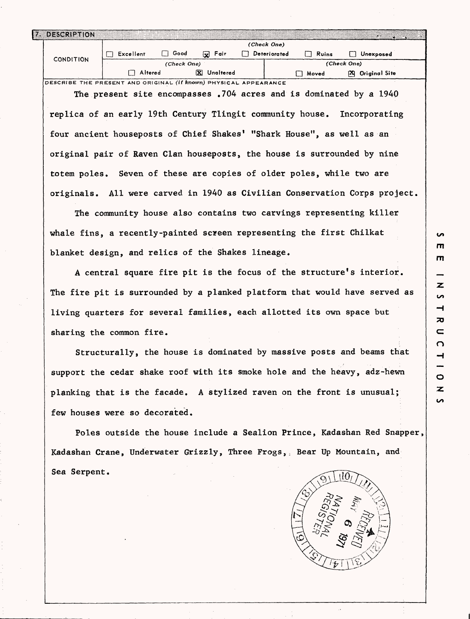| 7. DESCRIPTION                                                       |                                                                            |                              |                   | <u> 1988 - Jan Salaman</u>     |  |  |  |  |  |  |  |
|----------------------------------------------------------------------|----------------------------------------------------------------------------|------------------------------|-------------------|--------------------------------|--|--|--|--|--|--|--|
|                                                                      |                                                                            | (Check One)                  |                   |                                |  |  |  |  |  |  |  |
| <b>CONDITION</b>                                                     | $\Box$ Good<br>$\Box$ Excellent                                            | $\overline{\mathbf{x}}$ Fair |                   | Deteriorated Ruins I Unexposed |  |  |  |  |  |  |  |
|                                                                      | (Check One)                                                                |                              | (Check One)       |                                |  |  |  |  |  |  |  |
|                                                                      | $\Box$ Altered                                                             | <b>X</b> Unaltered           | Moved <b>Move</b> | [25] Original Site             |  |  |  |  |  |  |  |
|                                                                      | DESCRIBE THE PRESENT AND ORIGINAL (If known) PHYSICAL APPEARANCE           |                              |                   |                                |  |  |  |  |  |  |  |
|                                                                      | The present site encompasses .704 acres and is dominated by a 1940         |                              |                   |                                |  |  |  |  |  |  |  |
|                                                                      |                                                                            |                              |                   |                                |  |  |  |  |  |  |  |
|                                                                      | replica of an early 19th Century Tlingit community house. Incorporating    |                              |                   |                                |  |  |  |  |  |  |  |
|                                                                      |                                                                            |                              |                   |                                |  |  |  |  |  |  |  |
|                                                                      | four ancient houseposts of Chief Shakes' "Shark House", as well as an      |                              |                   |                                |  |  |  |  |  |  |  |
|                                                                      |                                                                            |                              |                   |                                |  |  |  |  |  |  |  |
|                                                                      | original pair of Raven Clan houseposts, the house is surrounded by nine    |                              |                   |                                |  |  |  |  |  |  |  |
|                                                                      |                                                                            |                              |                   |                                |  |  |  |  |  |  |  |
| totem poles. Seven of these are copies of older poles, while two are |                                                                            |                              |                   |                                |  |  |  |  |  |  |  |
|                                                                      |                                                                            |                              |                   |                                |  |  |  |  |  |  |  |
|                                                                      | originals. All were carved in 1940 as Civilian Conservation Corps project. |                              |                   |                                |  |  |  |  |  |  |  |
|                                                                      |                                                                            |                              |                   |                                |  |  |  |  |  |  |  |

The community house also contains two carvings representing killer whale fins, a recently-painted screen representing the first Chilkat blanket design, and relics of the Shakes lineage.

A central square fire pit is the focus of the structure's interior. The fire pit is surrounded by a planked platform that would have served as living quarters for several families, each allotted its own space but sharing the common fire.

Structurally, the house is dominated by massive posts and beams that support the cedar shake roof with its smoke hole and the heavy, adz-hewn planking that is the facade. A stylized raven on the front is unusual; few houses were so decorated.

Poles outside the house include a Sealion Prince, Kadashan Red Snapper, Kadashan Crane, Underwater Grizzly, Three Frogs, : Bear Up Mountain, and Sea Serpent.



 $\mathbf{m}$  $\mathbf{m}$ Z  $\sim$  $\rightarrow$ ᅎ  $\subset$  $\Omega$  $\overline{\phantom{0}}$ - $\circ$  $\overline{\mathbf{z}}$ S

**Ln**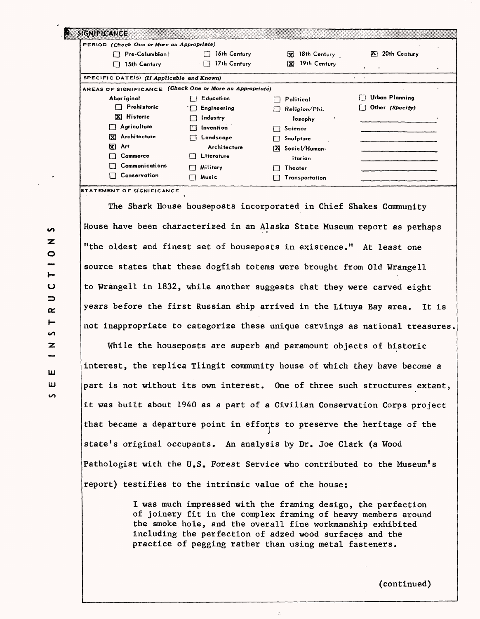| SIGNIFICANCE                                             |                                        |                             |                             |  |  |  |  |  |  |  |  |
|----------------------------------------------------------|----------------------------------------|-----------------------------|-----------------------------|--|--|--|--|--|--|--|--|
| PERIOD (Check One or More as Appropriate)                |                                        |                             |                             |  |  |  |  |  |  |  |  |
| Pre-Columbian                                            | 16th Century                           | ×<br>18th Century           | 20th Century<br>P≤ ⊦        |  |  |  |  |  |  |  |  |
| 15th Century                                             | 17th Century<br>$\left  \cdot \right $ | 19th Century<br>$ {\bf x} $ | $\bullet$<br>$\blacksquare$ |  |  |  |  |  |  |  |  |
| SPECIFIC DATE(S) (If Applicable and Known)               | $\cdots$                               |                             |                             |  |  |  |  |  |  |  |  |
| AREAS OF SIGNIFICANCE (Check One or More as Appropriate) |                                        |                             |                             |  |  |  |  |  |  |  |  |
| Abor iginal                                              | E ducati on                            | Political                   | $\Box$ Urban Planning       |  |  |  |  |  |  |  |  |
| Prehistoric<br>II.                                       | $\Box$ Engineering                     | Religion/Phi-               | $\Box$ Other (Specify)      |  |  |  |  |  |  |  |  |
| X Historic                                               | Industry                               | losophy                     |                             |  |  |  |  |  |  |  |  |
| Agriculture                                              | <b>Invention</b><br>ГT                 | Science                     |                             |  |  |  |  |  |  |  |  |
| X Architecture                                           | Landscape                              | Sculpture                   |                             |  |  |  |  |  |  |  |  |
| K)<br>Art                                                | Architecture                           | Social/Human-<br><b>EXI</b> |                             |  |  |  |  |  |  |  |  |
| Commerce                                                 | Literature                             | itarian                     |                             |  |  |  |  |  |  |  |  |
| Communications                                           | Military                               | Theater                     |                             |  |  |  |  |  |  |  |  |
| Conservation                                             | Music                                  | Transportation              |                             |  |  |  |  |  |  |  |  |

**STATEMENT OF SIGNIFICANCE**

The Shark House houseposts incorporated in Chief Shakes Community House have been characterized in an Alaska State Museum report as perhaps "the oldest and finest set of houseposts in existence." At least one source states that these dogfish totems were brought from Old Wrangell to Wrangell in 1832, while another suggests that they were carved eight years before the first Russian ship arrived in the Lituya Bay area. It is not inappropriate to categorize these unique carvings as national treasures.

While the houseposts are superb and paramount objects of historic interest, the replica Tlingit community house of which they have become a part is not without its own interest. One of three such structures extant, it was built about 1940 as a part of a Civilian Conservation Corps project that became a departure point in efforts to preserve the heritage of the state's original occupants. An analysis by Dr. Joe Clark (a Wood Pathologist with the U.S. Forest Service who contributed to the Museum's report) testifies to the intrinsic value of the house;

> I was much impressed with the framing design, the perfection of joinery fit in the complex framing of heavy members around the smoke hole, and the overall fine workmanship exhibited including the perfection of adzed wood surfaces and the practice of pegging rather than using metal fasteners.

 $\overline{a}$ z o Ī. u  $\Rightarrow$ œ. Н Š. z **LU** Ш  $\sim$ 

(continued)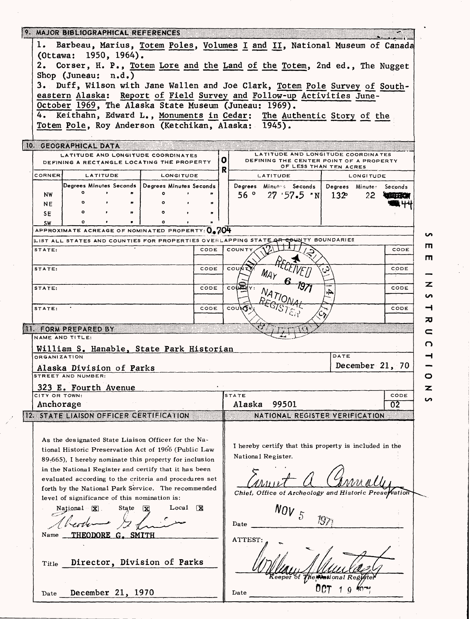|                                                |                                                                                                                 | 9. MAJOR BIBLIOGRAPHICAL REFERENCES                                                                                           |                                                   |           |           |                        |                                                       |                                                        |          |                                                                                                         |               |                 |                         |    |  |
|------------------------------------------------|-----------------------------------------------------------------------------------------------------------------|-------------------------------------------------------------------------------------------------------------------------------|---------------------------------------------------|-----------|-----------|------------------------|-------------------------------------------------------|--------------------------------------------------------|----------|---------------------------------------------------------------------------------------------------------|---------------|-----------------|-------------------------|----|--|
|                                                | Barbeau, Marius, Totem Poles, Volumes I and II, National Museum of Canada<br>1.<br>(Ottawa: 1950, 1964).        |                                                                                                                               |                                                   |           |           |                        |                                                       |                                                        |          |                                                                                                         |               |                 |                         |    |  |
|                                                | 2. Corser, H. P., Totem Lore and the Land of the Totem, 2nd ed., The Nugget                                     |                                                                                                                               |                                                   |           |           |                        |                                                       |                                                        |          |                                                                                                         |               |                 |                         |    |  |
|                                                | Shop (Juneau: $n.d.)$<br>3. Duff, Wilson with Jane Wallen and Joe Clark, Totem Pole Survey of South-            |                                                                                                                               |                                                   |           |           |                        |                                                       |                                                        |          |                                                                                                         |               |                 |                         |    |  |
|                                                | eastern Alaska: Report of Field Survey and Follow-up Activities June-                                           |                                                                                                                               |                                                   |           |           |                        |                                                       |                                                        |          |                                                                                                         |               |                 |                         |    |  |
|                                                | October 1969, The Alaska State Museum (Juneau: 1969).                                                           |                                                                                                                               |                                                   |           |           |                        |                                                       |                                                        |          |                                                                                                         |               |                 |                         |    |  |
|                                                |                                                                                                                 | 4. Keithahn, Edward L., Monuments in Cedar: The Authentic Story of the<br>Totem Pole, Roy Anderson (Ketchikan, Alaska: 1945). |                                                   |           |           |                        |                                                       |                                                        |          |                                                                                                         |               |                 |                         |    |  |
|                                                |                                                                                                                 |                                                                                                                               |                                                   |           |           |                        |                                                       |                                                        |          |                                                                                                         |               |                 |                         |    |  |
|                                                |                                                                                                                 | 10. GEOGRAPHICAL DATA<br>LATITUDE AND LONGITUDE COORDINATES<br>DEFINING A RECTANGLE LOCATING THE PROPERTY                     |                                                   |           |           |                        | O.                                                    |                                                        |          | LATITUDE AND LONGITUDE COORDINATES<br>DEFINING THE CENTER POINT OF A PROPERTY<br>OF LESS THAN TEN ACRES |               |                 |                         |    |  |
|                                                | <b>CORNER</b>                                                                                                   |                                                                                                                               | <b>LATITUDE</b>                                   |           | LONGITUDE |                        | R                                                     |                                                        | LATITUDE |                                                                                                         |               | LONGITUDE       |                         |    |  |
|                                                |                                                                                                                 |                                                                                                                               | Degrees Minutes Seconds   Degrees Minutes Seconds |           |           |                        |                                                       |                                                        |          | Degrees Minutes Seconds                                                                                 |               |                 | Degrees Minutes Seconds |    |  |
|                                                | <b>NW</b>                                                                                                       | $\circ$<br>$\mathbf{o}$                                                                                                       |                                                   |           |           | $\pmb{\pi}$            |                                                       | 56 °                                                   |          | 27'57.5"N                                                                                               | $132^{\circ}$ | 22.             |                         |    |  |
|                                                | <b>NE</b>                                                                                                       | $\circ$                                                                                                                       |                                                   |           |           | m                      |                                                       |                                                        |          |                                                                                                         |               |                 |                         |    |  |
|                                                | SE<br><b>SW</b>                                                                                                 | Ő.                                                                                                                            |                                                   | $\bullet$ |           |                        |                                                       |                                                        |          |                                                                                                         |               |                 |                         |    |  |
|                                                |                                                                                                                 | APPROXIMATE ACREAGE OF NOMINATED PROPERTY: $0.204$                                                                            |                                                   |           |           |                        |                                                       |                                                        |          |                                                                                                         |               |                 |                         |    |  |
|                                                |                                                                                                                 | LIST ALL STATES AND COUNTIES FOR PROPERTIES OVERLAPPING STATE OR COUNTY BOUNDARIES                                            |                                                   |           |           |                        |                                                       |                                                        |          |                                                                                                         |               |                 |                         | ш  |  |
|                                                | STATE:                                                                                                          |                                                                                                                               |                                                   |           |           | CODE                   |                                                       | COUNTY                                                 |          |                                                                                                         |               |                 | CODE                    | m  |  |
|                                                | STATE:                                                                                                          |                                                                                                                               |                                                   |           |           | CODE                   |                                                       | couk                                                   | $M_{A}$  |                                                                                                         |               |                 | CODE                    |    |  |
|                                                | STATE:                                                                                                          |                                                                                                                               |                                                   |           |           | CODE                   |                                                       | <b>COLLE</b>                                           |          |                                                                                                         |               |                 | CODE                    | z  |  |
|                                                |                                                                                                                 |                                                                                                                               |                                                   |           |           |                        |                                                       |                                                        |          |                                                                                                         |               |                 |                         | n  |  |
|                                                | STATE:                                                                                                          |                                                                                                                               |                                                   |           |           | CODE                   |                                                       | COUNTY                                                 |          |                                                                                                         |               |                 | CODE                    |    |  |
|                                                |                                                                                                                 |                                                                                                                               |                                                   |           |           |                        |                                                       |                                                        |          |                                                                                                         |               |                 |                         | ᅍ  |  |
|                                                |                                                                                                                 | II FORM PREPARED BY<br>NAME AND TITLE:                                                                                        |                                                   |           |           |                        |                                                       |                                                        |          |                                                                                                         |               |                 |                         |    |  |
| O<br>William S. Hanable, State Park Historian  |                                                                                                                 |                                                                                                                               |                                                   |           |           |                        |                                                       |                                                        |          |                                                                                                         |               |                 |                         |    |  |
|                                                | <b>ORGANIZATION</b>                                                                                             |                                                                                                                               |                                                   |           |           |                        |                                                       |                                                        |          |                                                                                                         | DATE          |                 |                         |    |  |
| Alaska Division of Parks<br>STREET AND NUMBER: |                                                                                                                 |                                                                                                                               |                                                   |           |           |                        |                                                       |                                                        |          |                                                                                                         |               | December 21, 70 | o                       |    |  |
|                                                |                                                                                                                 | 323 E. Fourth Avenue                                                                                                          |                                                   |           |           |                        |                                                       |                                                        |          |                                                                                                         |               |                 |                         | Z. |  |
|                                                | CITY OR TOWN:                                                                                                   |                                                                                                                               |                                                   |           |           |                        |                                                       | <b>STATE</b>                                           |          |                                                                                                         |               |                 | CODE                    | n  |  |
|                                                | Anchorage                                                                                                       |                                                                                                                               |                                                   |           |           |                        |                                                       | Alaska                                                 |          | 99501                                                                                                   |               |                 | 02                      |    |  |
|                                                | 12 STATE LIAISON OFFICER CERTIFICATION                                                                          |                                                                                                                               |                                                   |           |           |                        |                                                       | NATIONAL REGISTER VERIFICATION                         |          |                                                                                                         |               |                 |                         |    |  |
|                                                |                                                                                                                 |                                                                                                                               |                                                   |           |           |                        |                                                       |                                                        |          |                                                                                                         |               |                 |                         |    |  |
|                                                |                                                                                                                 | As the designated State Liaison Officer for the Na-                                                                           |                                                   |           |           |                        |                                                       | I hereby certify that this property is included in the |          |                                                                                                         |               |                 |                         |    |  |
|                                                | tional Historic Preservation Act of 1966 (Public Law<br>89-665). I hereby nominate this property for inclusion  |                                                                                                                               |                                                   |           |           |                        |                                                       | National Register.                                     |          |                                                                                                         |               |                 |                         |    |  |
|                                                |                                                                                                                 |                                                                                                                               |                                                   |           |           |                        |                                                       |                                                        |          |                                                                                                         |               |                 |                         |    |  |
|                                                | in the National Register and certify that it has been<br>evaluated according to the criteria and procedures set |                                                                                                                               |                                                   |           |           |                        |                                                       |                                                        |          |                                                                                                         |               |                 |                         |    |  |
|                                                | forth by the National Park Service. The recommended                                                             |                                                                                                                               |                                                   |           |           |                        | Chief, Office of Archeology and Historic Preservation |                                                        |          |                                                                                                         |               |                 |                         |    |  |
|                                                | level of significance of this nomination is:                                                                    |                                                                                                                               |                                                   |           |           |                        |                                                       |                                                        |          |                                                                                                         |               |                 |                         |    |  |
|                                                | Local<br>$\overline{\mathbf{x}}$<br>State $\mathbf{\overline{x}}$<br>$National \times 2$                        |                                                                                                                               |                                                   |           |           |                        |                                                       |                                                        |          | $NQV_{5}$                                                                                               |               |                 |                         |    |  |
|                                                |                                                                                                                 |                                                                                                                               |                                                   |           |           |                        |                                                       | Date                                                   |          |                                                                                                         |               |                 |                         |    |  |
|                                                | <b>THEODORE</b><br>G. SMITH<br>Name                                                                             |                                                                                                                               |                                                   |           |           |                        |                                                       | ATTEST:                                                |          |                                                                                                         |               |                 |                         |    |  |
|                                                |                                                                                                                 |                                                                                                                               |                                                   |           |           |                        |                                                       |                                                        |          |                                                                                                         |               |                 |                         |    |  |
| Director, Division of Parks<br>Title           |                                                                                                                 |                                                                                                                               |                                                   |           |           |                        |                                                       |                                                        |          |                                                                                                         |               |                 |                         |    |  |
|                                                |                                                                                                                 |                                                                                                                               |                                                   |           |           | eeper of The New ional |                                                       |                                                        |          |                                                                                                         |               |                 |                         |    |  |
|                                                | December 21, 1970<br>Date                                                                                       |                                                                                                                               |                                                   |           |           |                        |                                                       | Date                                                   |          |                                                                                                         |               |                 |                         |    |  |